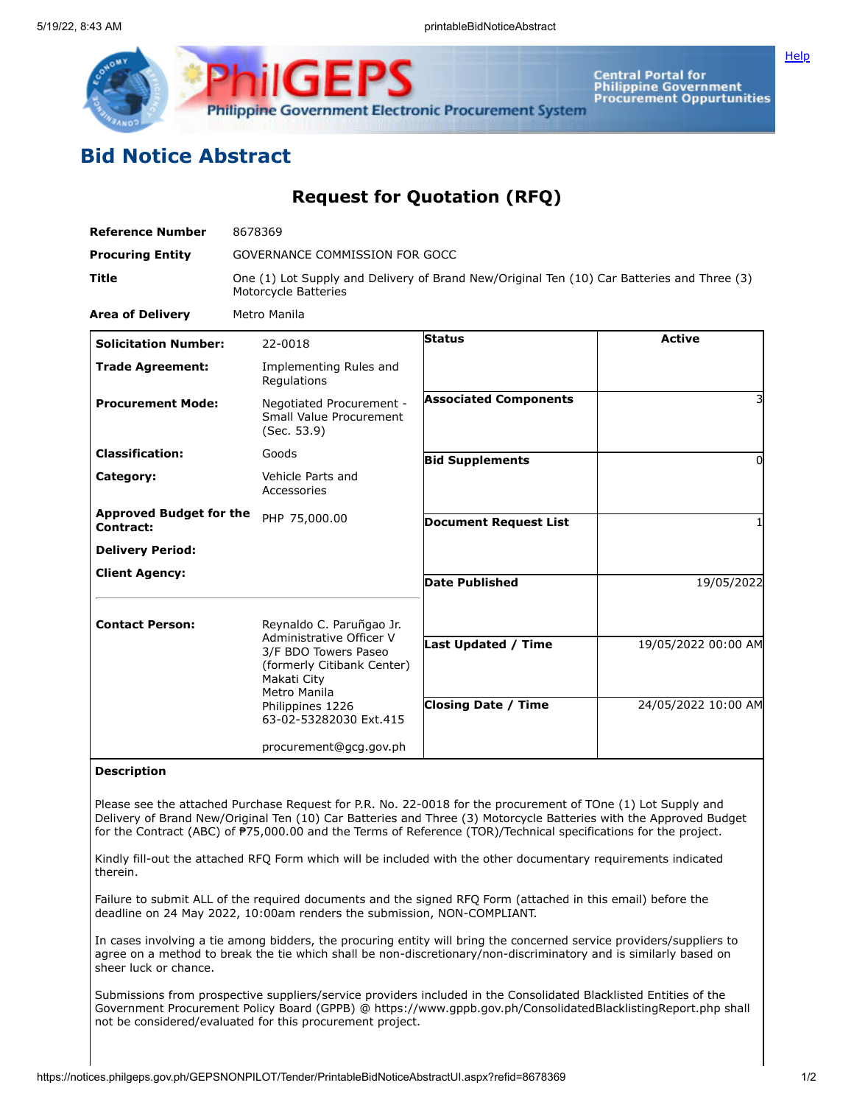

Central Portal for<br>Philippine Government<br>Procurement Oppurtunities

## **Bid Notice Abstract**

**Request for Quotation (RFQ)**

| <b>Reference Number</b>                     | 8678369                                                                                                                                                                                 |                                                          |                                            |
|---------------------------------------------|-----------------------------------------------------------------------------------------------------------------------------------------------------------------------------------------|----------------------------------------------------------|--------------------------------------------|
| <b>Procuring Entity</b>                     | GOVERNANCE COMMISSION FOR GOCC                                                                                                                                                          |                                                          |                                            |
| Title                                       | One (1) Lot Supply and Delivery of Brand New/Original Ten (10) Car Batteries and Three (3)<br>Motorcycle Batteries                                                                      |                                                          |                                            |
| <b>Area of Delivery</b>                     | Metro Manila                                                                                                                                                                            |                                                          |                                            |
| <b>Solicitation Number:</b>                 | 22-0018                                                                                                                                                                                 | <b>Status</b>                                            | <b>Active</b>                              |
| <b>Trade Agreement:</b>                     | Implementing Rules and<br>Regulations                                                                                                                                                   |                                                          |                                            |
| <b>Procurement Mode:</b>                    | Negotiated Procurement -<br>Small Value Procurement<br>(Sec. 53.9)                                                                                                                      | <b>Associated Components</b>                             | 3                                          |
| <b>Classification:</b>                      | Goods                                                                                                                                                                                   | <b>Bid Supplements</b>                                   | 0                                          |
| Category:                                   | Vehicle Parts and<br>Accessories                                                                                                                                                        |                                                          |                                            |
| <b>Approved Budget for the</b><br>Contract: | PHP 75,000.00                                                                                                                                                                           | <b>Document Request List</b>                             | 1                                          |
| <b>Delivery Period:</b>                     |                                                                                                                                                                                         |                                                          |                                            |
| <b>Client Agency:</b>                       |                                                                                                                                                                                         | <b>Date Published</b>                                    | 19/05/2022                                 |
| <b>Contact Person:</b>                      | Reynaldo C. Paruñgao Jr.<br>Administrative Officer V<br>3/F BDO Towers Paseo<br>(formerly Citibank Center)<br>Makati City<br>Metro Manila<br>Philippines 1226<br>63-02-53282030 Ext.415 | <b>Last Updated / Time</b><br><b>Closing Date / Time</b> | 19/05/2022 00:00 AM<br>24/05/2022 10:00 AM |
|                                             | procurement@gcg.gov.ph                                                                                                                                                                  |                                                          |                                            |

## **Description**

Please see the attached Purchase Request for P.R. No. 22-0018 for the procurement of TOne (1) Lot Supply and Delivery of Brand New/Original Ten (10) Car Batteries and Three (3) Motorcycle Batteries with the Approved Budget for the Contract (ABC) of ₱75,000.00 and the Terms of Reference (TOR)/Technical specifications for the project.

Kindly fill-out the attached RFQ Form which will be included with the other documentary requirements indicated therein.

Failure to submit ALL of the required documents and the signed RFQ Form (attached in this email) before the deadline on 24 May 2022, 10:00am renders the submission, NON-COMPLIANT.

In cases involving a tie among bidders, the procuring entity will bring the concerned service providers/suppliers to agree on a method to break the tie which shall be non-discretionary/non-discriminatory and is similarly based on sheer luck or chance.

Submissions from prospective suppliers/service providers included in the Consolidated Blacklisted Entities of the Government Procurement Policy Board (GPPB) @ https://www.gppb.gov.ph/ConsolidatedBlacklistingReport.php shall not be considered/evaluated for this procurement project.